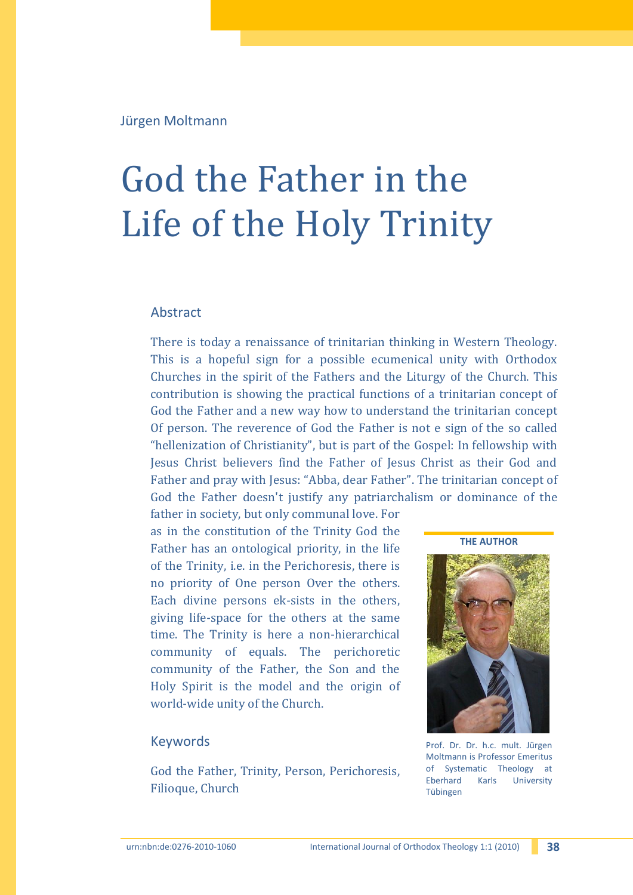Jürgen Moltmann

# God the Father in the Life of the Holy Trinity

## Abstract

There is today a renaissance of trinitarian thinking in Western Theology. This is a hopeful sign for a possible ecumenical unity with Orthodox Churches in the spirit of the Fathers and the Liturgy of the Church. This contribution is showing the practical functions of a trinitarian concept of God the Father and a new way how to understand the trinitarian concept Of person. The reverence of God the Father is not e sign of the so called "hellenization of Christianity", but is part of the Gospel: In fellowship with Jesus Christ believers find the Father of Jesus Christ as their God and Father and pray with Jesus: "Abba, dear Father". The trinitarian concept of God the Father doesn't justify any patriarchalism or dominance of the

father in society, but only communal love. For as in the constitution of the Trinity God the Father has an ontological priority, in the life of the Trinity, i.e. in the Perichoresis, there is no priority of One person Over the others. Each divine persons ek-sists in the others, giving life-space for the others at the same time. The Trinity is here a non-hierarchical community of equals. The perichoretic community of the Father, the Son and the Holy Spirit is the model and the origin of world-wide unity of the Church.

### Keywords

God the Father, Trinity, Person, Perichoresis, Filioque, Church

**THE AUTHOR**



Prof. Dr. Dr. h.c. mult. Jürgen Moltmann is Professor Emeritus of Systematic Theology at Eberhard Karls University Tübingen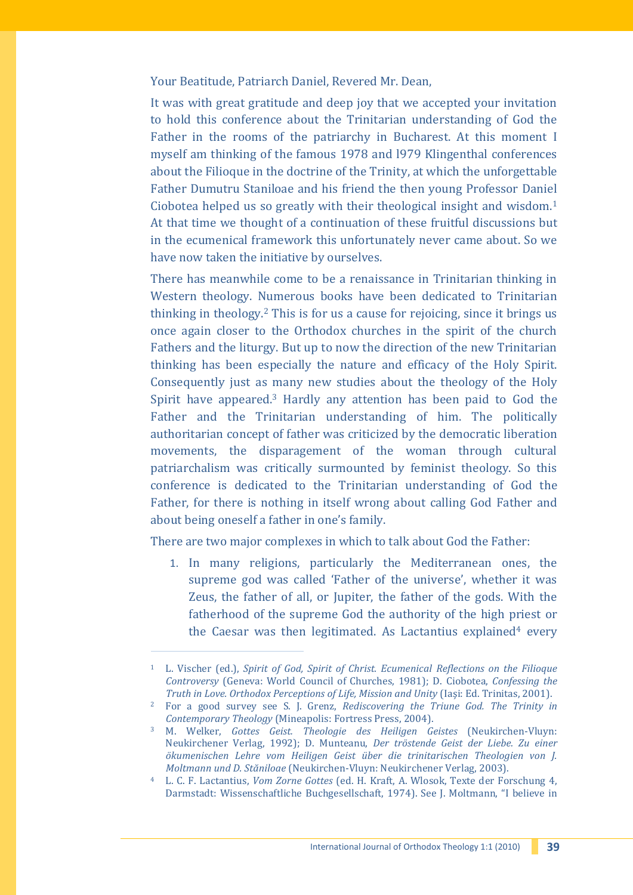Your Beatitude, Patriarch Daniel, Revered Mr. Dean,

It was with great gratitude and deep joy that we accepted your invitation to hold this conference about the Trinitarian understanding of God the Father in the rooms of the patriarchy in Bucharest. At this moment I myself am thinking of the famous 1978 and l979 Klingenthal conferences about the Filioque in the doctrine of the Trinity, at which the unforgettable Father Dumutru Staniloae and his friend the then young Professor Daniel Ciobotea helped us so greatly with their theological insight and wisdom.<sup>1</sup> At that time we thought of a continuation of these fruitful discussions but in the ecumenical framework this unfortunately never came about. So we have now taken the initiative by ourselves.

There has meanwhile come to be a renaissance in Trinitarian thinking in Western theology. Numerous books have been dedicated to Trinitarian thinking in theology.<sup>2</sup> This is for us a cause for rejoicing, since it brings us once again closer to the Orthodox churches in the spirit of the church Fathers and the liturgy. But up to now the direction of the new Trinitarian thinking has been especially the nature and efficacy of the Holy Spirit. Consequently just as many new studies about the theology of the Holy Spirit have appeared.<sup>3</sup> Hardly any attention has been paid to God the Father and the Trinitarian understanding of him. The politically authoritarian concept of father was criticized by the democratic liberation movements, the disparagement of the woman through cultural patriarchalism was critically surmounted by feminist theology. So this conference is dedicated to the Trinitarian understanding of God the Father, for there is nothing in itself wrong about calling God Father and about being oneself a father in one's family.

There are two major complexes in which to talk about God the Father:

1. In many religions, particularly the Mediterranean ones, the supreme god was called 'Father of the universe', whether it was Zeus, the father of all, or Jupiter, the father of the gods. With the fatherhood of the supreme God the authority of the high priest or the Caesar was then legitimated. As Lactantius explained<sup>4</sup> every

<sup>1</sup> L. Vischer (ed.), *Spirit of God, Spirit of Christ. Ecumenical Reflections on the Filioque Controversy* (Geneva: World Council of Churches, 1981); D. Ciobotea, *Confessing the Truth in Love. Orthodox Perceptions of Life, Mission and Unity* (Iaşi: Ed. Trinitas, 2001).

<sup>2</sup> For a good survey see S. J. Grenz, *Rediscovering the Triune God. The Trinity in Contemporary Theology* (Mineapolis: Fortress Press, 2004).

<sup>3</sup> M. Welker, *Gottes Geist. Theologie des Heiligen Geistes* (Neukirchen-Vluyn: Neukirchener Verlag, 1992); D. Munteanu, *Der tröstende Geist der Liebe. Zu einer ökumenischen Lehre vom Heiligen Geist über die trinitarischen Theologien von J. Moltmann und D. Stăniloae* (Neukirchen-Vluyn: Neukirchener Verlag, 2003).

<sup>4</sup> L. C. F. Lactantius, *Vom Zorne Gottes* (ed. H. Kraft, A. Wlosok, Texte der Forschung 4, Darmstadt: Wissenschaftliche Buchgesellschaft, 1974). See J. Moltmann, "I believe in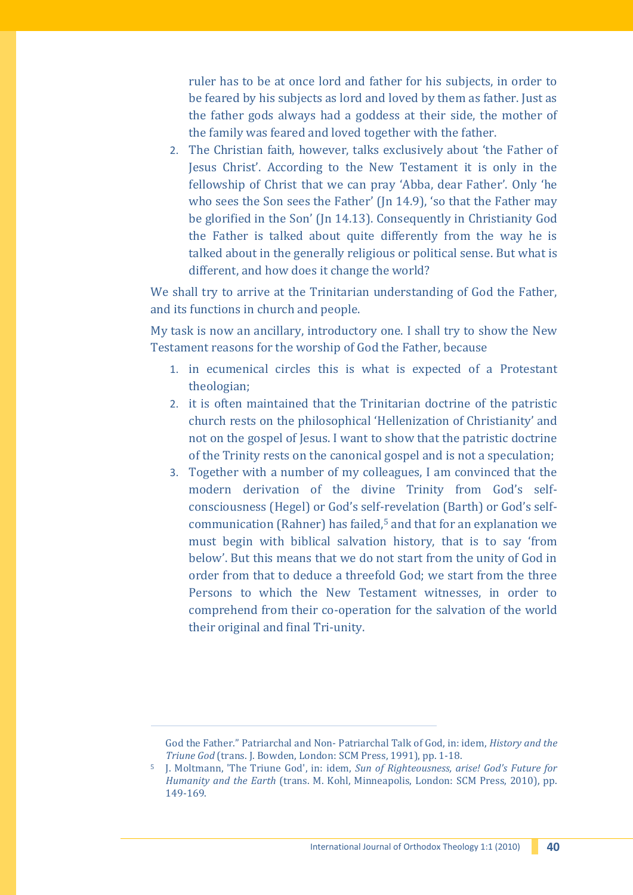ruler has to be at once lord and father for his subjects, in order to be feared by his subjects as lord and loved by them as father. Just as the father gods always had a goddess at their side, the mother of the family was feared and loved together with the father.

2. The Christian faith, however, talks exclusively about 'the Father of Jesus Christ'. According to the New Testament it is only in the fellowship of Christ that we can pray 'Abba, dear Father'. Only 'he who sees the Son sees the Father' (Jn 14.9), 'so that the Father may be glorified in the Son' (Jn 14.13). Consequently in Christianity God the Father is talked about quite differently from the way he is talked about in the generally religious or political sense. But what is different, and how does it change the world?

We shall try to arrive at the Trinitarian understanding of God the Father, and its functions in church and people.

My task is now an ancillary, introductory one. I shall try to show the New Testament reasons for the worship of God the Father, because

- 1. in ecumenical circles this is what is expected of a Protestant theologian;
- 2. it is often maintained that the Trinitarian doctrine of the patristic church rests on the philosophical 'Hellenization of Christianity' and not on the gospel of Jesus. I want to show that the patristic doctrine of the Trinity rests on the canonical gospel and is not a speculation;
- 3. Together with a number of my colleagues, I am convinced that the modern derivation of the divine Trinity from God's selfconsciousness (Hegel) or God's self-revelation (Barth) or God's selfcommunication (Rahner) has failed, <sup>5</sup> and that for an explanation we must begin with biblical salvation history, that is to say 'from below'. But this means that we do not start from the unity of God in order from that to deduce a threefold God; we start from the three Persons to which the New Testament witnesses, in order to comprehend from their co-operation for the salvation of the world their original and final Tri-unity.

God the Father." Patriarchal and Non- Patriarchal Talk of God, in: idem, *History and the Triune God* (trans. J. Bowden, London: SCM Press, 1991), pp. 1-18.

<sup>5</sup> J. Moltmann, 'The Triune God', in: idem, *Sun of Righteousness, arise! God's Future for Humanity and the Earth* (trans. M. Kohl, Minneapolis, London: SCM Press, 2010), pp. 149-169.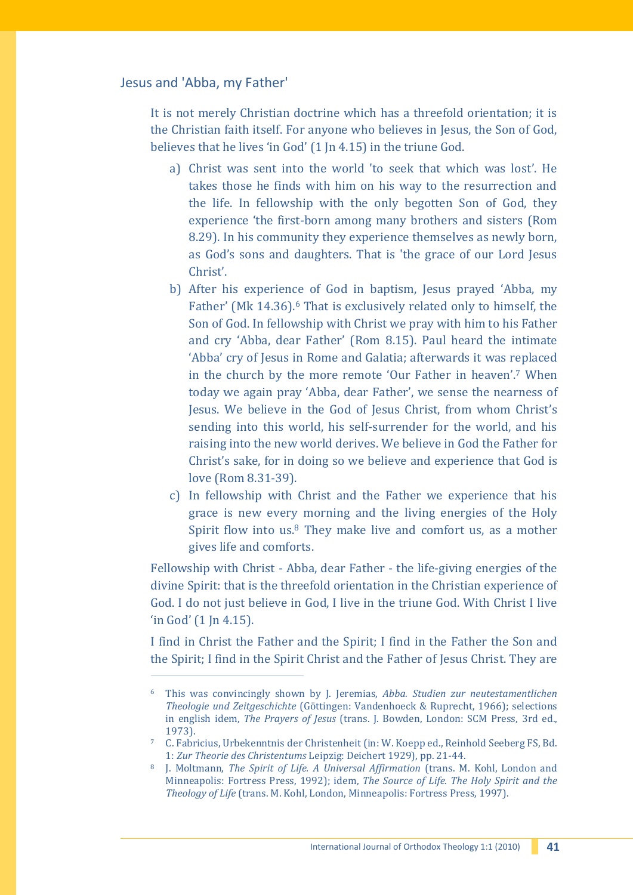## Jesus and 'Abba, my Father'

j

It is not merely Christian doctrine which has a threefold orientation; it is the Christian faith itself. For anyone who believes in Jesus, the Son of God, believes that he lives 'in God' (1 Jn 4.15) in the triune God.

- a) Christ was sent into the world 'to seek that which was lost'. He takes those he finds with him on his way to the resurrection and the life. In fellowship with the only begotten Son of God, they experience 'the first-born among many brothers and sisters (Rom 8.29). In his community they experience themselves as newly born, as God's sons and daughters. That is 'the grace of our Lord Jesus Christ'.
- b) After his experience of God in baptism, Jesus prayed 'Abba, my Father' (Mk 14.36).<sup>6</sup> That is exclusively related only to himself, the Son of God. In fellowship with Christ we pray with him to his Father and cry 'Abba, dear Father' (Rom 8.15). Paul heard the intimate 'Abba' cry of Jesus in Rome and Galatia; afterwards it was replaced in the church by the more remote 'Our Father in heaven'.<sup>7</sup> When today we again pray 'Abba, dear Father', we sense the nearness of Jesus. We believe in the God of Jesus Christ, from whom Christ's sending into this world, his self-surrender for the world, and his raising into the new world derives. We believe in God the Father for Christ's sake, for in doing so we believe and experience that God is love (Rom 8.31-39).
- c) In fellowship with Christ and the Father we experience that his grace is new every morning and the living energies of the Holy Spirit flow into us. $8$  They make live and comfort us, as a mother gives life and comforts.

Fellowship with Christ - Abba, dear Father - the life-giving energies of the divine Spirit: that is the threefold orientation in the Christian experience of God. I do not just believe in God, I live in the triune God. With Christ I live 'in God' (1 Jn 4.15).

I find in Christ the Father and the Spirit; I find in the Father the Son and the Spirit; I find in the Spirit Christ and the Father of Jesus Christ. They are

<sup>6</sup> This was convincingly shown by J. Jeremias, *Abba. Studien zur neutestamentlichen Theologie und Zeitgeschichte* (Göttingen: Vandenhoeck & Ruprecht, 1966); selections in english idem, *The Prayers of Jesus* (trans. J. Bowden, London: SCM Press, 3rd ed., 1973).

<sup>7</sup> C. Fabricius, Urbekenntnis der Christenheit (in: W. Koepp ed., Reinhold Seeberg FS, Bd. 1: *Zur Theorie des Christentums* Leipzig: Deichert 1929), pp. 21-44.

<sup>8</sup> J. Moltmann, *The Spirit of Life. A Universal Affirmation* (trans. M. Kohl, London and Minneapolis: Fortress Press, 1992); idem, *The Source of Life. The Holy Spirit and the Theology of Life* (trans. M. Kohl, London, Minneapolis: Fortress Press, 1997).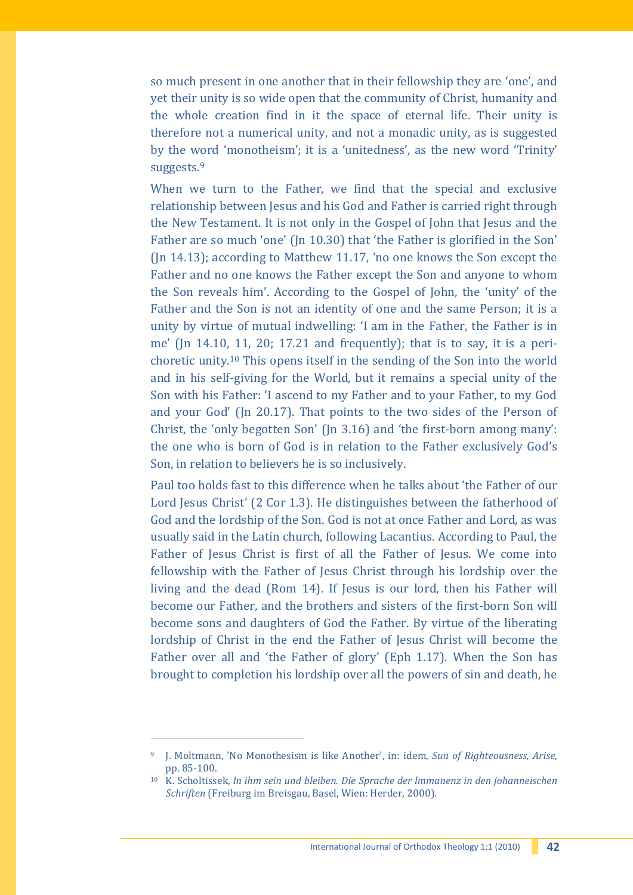so much present in one another that in their fellowship they are 'one', and yet their unity is so wide open that the community of Christ, humanity and the whole creation find in it the space of eternal life. Their unity is therefore not a numerical unity, and not a monadic unity, as is suggested by the word 'monotheism'; it is a 'unitedness', as the new word 'Trinity' suggests.<sup>9</sup>

When we turn to the Father, we find that the special and exclusive relationship between Jesus and his God and Father is carried right through the New Testament. It is not only in the Gospel of John that Jesus and the Father are so much 'one' (Jn 10.30) that 'the Father is glorified in the Son' (Jn 14.13); according to Matthew 11.17, 'no one knows the Son except the Father and no one knows the Father except the Son and anyone to whom the Son reveals him'. According to the Gospel of John, the 'unity' of the Father and the Son is not an identity of one and the same Person; it is a unity by virtue of mutual indwelling: 'I am in the Father, the Father is in me' (Jn 14.10, 11, 20; 17.21 and frequently); that is to say, it is a perichoretic unity.<sup>10</sup> This opens itself in the sending of the Son into the world and in his self-giving for the World, but it remains a special unity of the Son with his Father: 'I ascend to my Father and to your Father, to my God and your God' (Jn 20.17). That points to the two sides of the Person of Christ, the 'only begotten Son' (Jn 3.16) and 'the first-born among many': the one who is born of God is in relation to the Father exclusively God's Son, in relation to believers he is so inclusively.

Paul too holds fast to this difference when he talks about 'the Father of our Lord Jesus Christ' (2 Cor 1.3). He distinguishes between the fatherhood of God and the lordship of the Son. God is not at once Father and Lord, as was usually said in the Latin church, following Lacantius. According to Paul, the Father of Jesus Christ is first of all the Father of Jesus. We come into fellowship with the Father of Jesus Christ through his lordship over the living and the dead (Rom 14). If Jesus is our lord, then his Father will become our Father, and the brothers and sisters of the first-born Son will become sons and daughters of God the Father. By virtue of the liberating lordship of Christ in the end the Father of Jesus Christ will become the Father over all and 'the Father of glory' (Eph 1.17). When the Son has brought to completion his lordship over all the powers of sin and death, he

ł

<sup>9</sup> J. Moltmann, 'No Monothesism is like Another', in: idem, *Sun of Righteousness, Arise*, pp. 85-100.

<sup>10</sup> K. Scholtissek, *ln ihm sein und bleiben. Die Sprache der lmmanenz in den johanneischen Schriften* (Freiburg im Breisgau, Basel, Wien: Herder, 2000).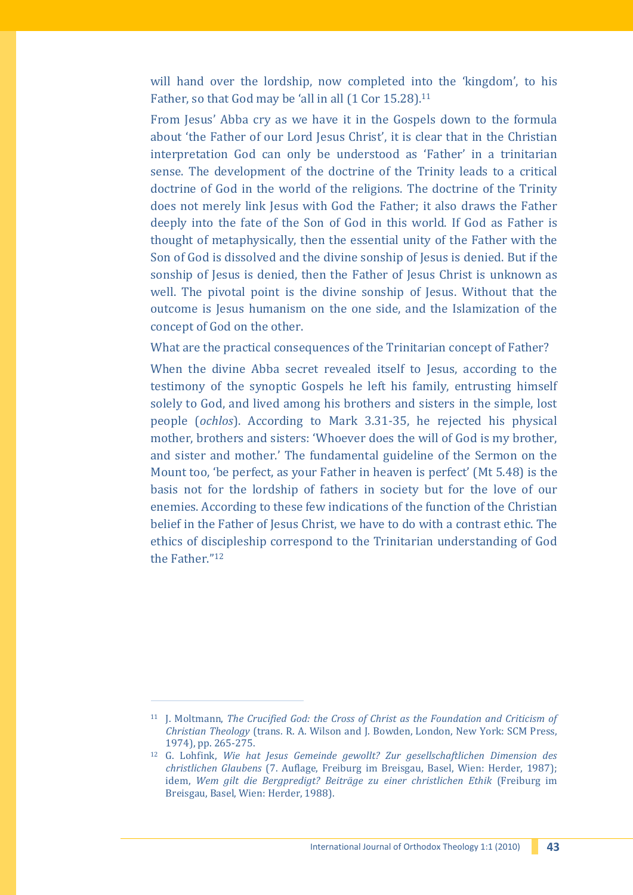will hand over the lordship, now completed into the 'kingdom', to his Father, so that God may be 'all in all (1 Cor 15.28).<sup>11</sup>

From Jesus' Abba cry as we have it in the Gospels down to the formula about 'the Father of our Lord Jesus Christ', it is clear that in the Christian interpretation God can only be understood as 'Father' in a trinitarian sense. The development of the doctrine of the Trinity leads to a critical doctrine of God in the world of the religions. The doctrine of the Trinity does not merely link Jesus with God the Father; it also draws the Father deeply into the fate of the Son of God in this world. If God as Father is thought of metaphysically, then the essential unity of the Father with the Son of God is dissolved and the divine sonship of Jesus is denied. But if the sonship of Jesus is denied, then the Father of Jesus Christ is unknown as well. The pivotal point is the divine sonship of Jesus. Without that the outcome is Jesus humanism on the one side, and the Islamization of the concept of God on the other.

What are the practical consequences of the Trinitarian concept of Father?

When the divine Abba secret revealed itself to Jesus, according to the testimony of the synoptic Gospels he left his family, entrusting himself solely to God, and lived among his brothers and sisters in the simple, lost people (*ochlos*). According to Mark 3.31-35, he rejected his physical mother, brothers and sisters: 'Whoever does the will of God is my brother, and sister and mother.' The fundamental guideline of the Sermon on the Mount too, 'be perfect, as your Father in heaven is perfect' (Mt 5.48) is the basis not for the lordship of fathers in society but for the love of our enemies. According to these few indications of the function of the Christian belief in the Father of Jesus Christ, we have to do with a contrast ethic. The ethics of discipleship correspond to the Trinitarian understanding of God the Father."<sup>12</sup>

<sup>11</sup> J. Moltmann, *The Crucified God: the Cross of Christ as the Foundation and Criticism of Christian Theology* (trans. R. A. Wilson and J. Bowden, London, New York: SCM Press, 1974), pp. 265-275.

<sup>12</sup> G. Lohfink, *Wie hat Jesus Gemeinde gewollt? Zur gesellschaftlichen Dimension des christlichen Glaubens* (7. Auflage, Freiburg im Breisgau, Basel, Wien: Herder, 1987); idem, *Wem gilt die Bergpredigt? Beiträge zu einer christlichen Ethik* (Freiburg im Breisgau, Basel, Wien: Herder, 1988).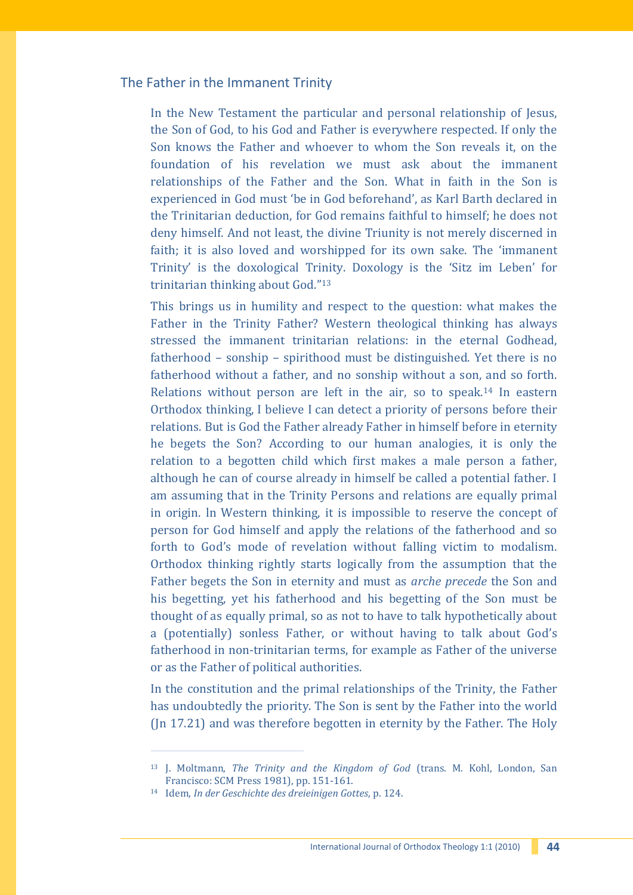### The Father in the Immanent Trinity

In the New Testament the particular and personal relationship of Jesus, the Son of God, to his God and Father is everywhere respected. If only the Son knows the Father and whoever to whom the Son reveals it, on the foundation of his revelation we must ask about the immanent relationships of the Father and the Son. What in faith in the Son is experienced in God must 'be in God beforehand', as Karl Barth declared in the Trinitarian deduction, for God remains faithful to himself; he does not deny himself. And not least, the divine Triunity is not merely discerned in faith; it is also loved and worshipped for its own sake. The 'immanent Trinity' is the doxological Trinity. Doxology is the 'Sitz im Leben' for trinitarian thinking about God."<sup>13</sup>

This brings us in humility and respect to the question: what makes the Father in the Trinity Father? Western theological thinking has always stressed the immanent trinitarian relations: in the eternal Godhead, fatherhood – sonship – spirithood must be distinguished. Yet there is no fatherhood without a father, and no sonship without a son, and so forth. Relations without person are left in the air, so to speak.<sup>14</sup> In eastern Orthodox thinking, I believe I can detect a priority of persons before their relations. But is God the Father already Father in himself before in eternity he begets the Son? According to our human analogies, it is only the relation to a begotten child which first makes a male person a father, although he can of course already in himself be called a potential father. I am assuming that in the Trinity Persons and relations are equally primal in origin. ln Western thinking, it is impossible to reserve the concept of person for God himself and apply the relations of the fatherhood and so forth to God's mode of revelation without falling victim to modalism. Orthodox thinking rightly starts logically from the assumption that the Father begets the Son in eternity and must as *arche precede* the Son and his begetting, yet his fatherhood and his begetting of the Son must be thought of as equally primal, so as not to have to talk hypothetically about a (potentially) sonless Father, or without having to talk about God's fatherhood in non-trinitarian terms, for example as Father of the universe or as the Father of political authorities.

In the constitution and the primal relationships of the Trinity, the Father has undoubtedly the priority. The Son is sent by the Father into the world (Jn 17.21) and was therefore begotten in eternity by the Father. The Holy

<sup>13</sup> J. Moltmann, *The Trinity and the Kingdom of God* (trans. M. Kohl, London, San Francisco: SCM Press 1981), pp. 151-161.

<sup>14</sup> Idem, *In der Geschichte des dreieinigen Gottes*, p. 124.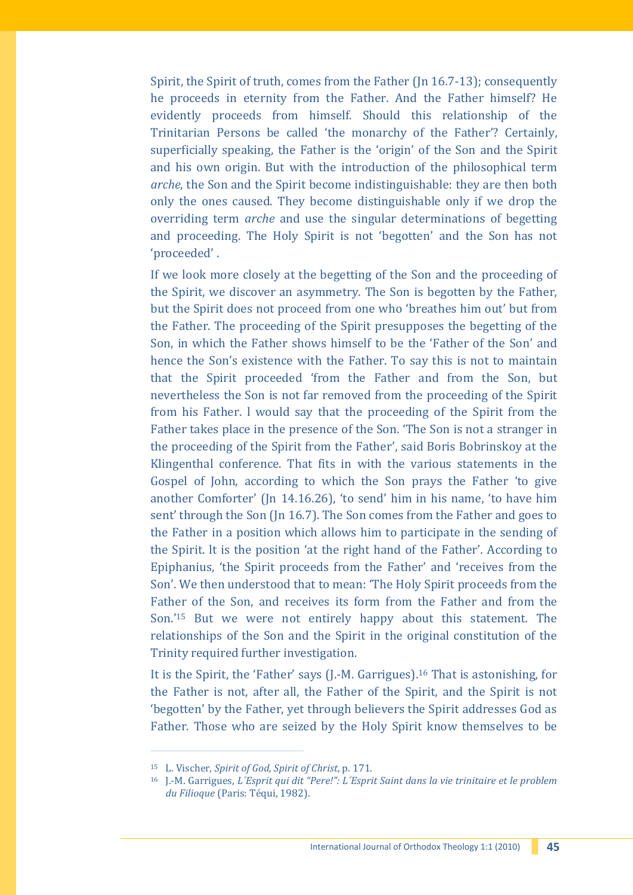Spirit, the Spirit of truth, comes from the Father (Jn 16.7-13); consequently he proceeds in eternity from the Father. And the Father himself? He evidently proceeds from himself. Should this relationship of the Trinitarian Persons be called 'the monarchy of the Father'? Certainly, superficially speaking, the Father is the 'origin' of the Son and the Spirit and his own origin. But with the introduction of the philosophical term *arche*, the Son and the Spirit become indistinguishable: they are then both only the ones caused. They become distinguishable only if we drop the overriding term *arche* and use the singular determinations of begetting and proceeding. The Holy Spirit is not 'begotten' and the Son has not 'proceeded' .

If we look more closely at the begetting of the Son and the proceeding of the Spirit, we discover an asymmetry. The Son is begotten by the Father, but the Spirit does not proceed from one who 'breathes him out' but from the Father. The proceeding of the Spirit presupposes the begetting of the Son, in which the Father shows himself to be the 'Father of the Son' and hence the Son's existence with the Father. To say this is not to maintain that the Spirit proceeded 'from the Father and from the Son, but nevertheless the Son is not far removed from the proceeding of the Spirit from his Father. l would say that the proceeding of the Spirit from the Father takes place in the presence of the Son. 'The Son is not a stranger in the proceeding of the Spirit from the Father', said Boris Bobrinskoy at the Klingenthal conference. That fits in with the various statements in the Gospel of John, according to which the Son prays the Father 'to give another Comforter' (Jn 14.16.26), 'to send' him in his name, 'to have him sent' through the Son (Jn 16.7). The Son comes from the Father and goes to the Father in a position which allows him to participate in the sending of the Spirit. lt is the position 'at the right hand of the Father'. According to Epiphanius, 'the Spirit proceeds from the Father' and 'receives from the Son'. We then understood that to mean: 'The Holy Spirit proceeds from the Father of the Son, and receives its form from the Father and from the Son.' <sup>15</sup> But we were not entirely happy about this statement. The relationships of the Son and the Spirit in the original constitution of the Trinity required further investigation.

It is the Spirit, the 'Father' says (J.-M. Garrigues). <sup>16</sup> That is astonishing, for the Father is not, after all, the Father of the Spirit, and the Spirit is not 'begotten' by the Father, yet through believers the Spirit addresses God as Father. Those who are seized by the Holy Spirit know themselves to be

<sup>15</sup> L. Vischer, *Spirit of God, Spirit of Christ*, p. 171.

<sup>16</sup> J.-M. Garrigues, *L´Esprit qui dit "Pere!": L´Esprit Saint dans la vie trinitaire et le problem du Filioque* (Paris: Téqui, 1982).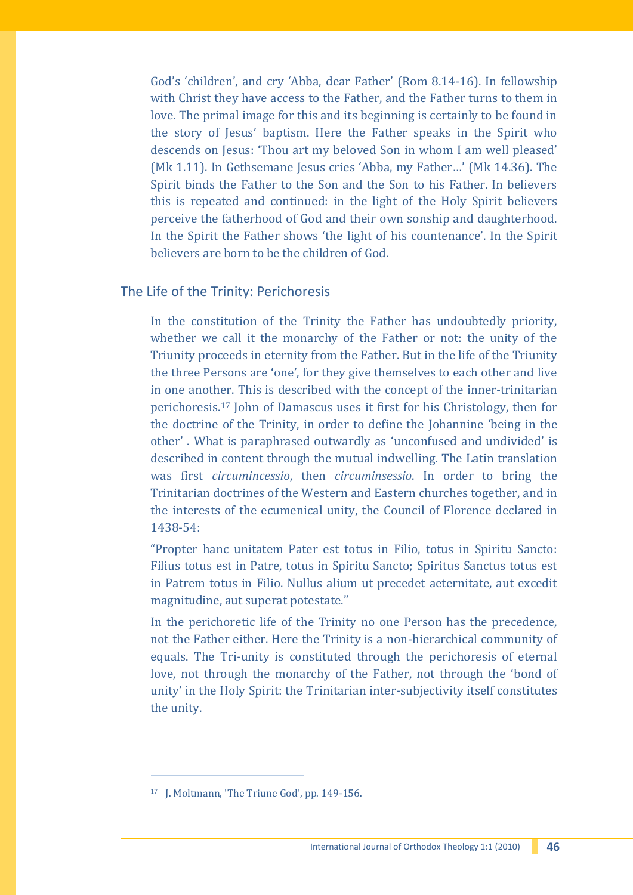God's 'children', and cry 'Abba, dear Father' (Rom 8.14-16). In fellowship with Christ they have access to the Father, and the Father turns to them in love. The primal image for this and its beginning is certainly to be found in the story of Jesus' baptism. Here the Father speaks in the Spirit who descends on Jesus: 'Thou art my beloved Son in whom I am well pleased' (Mk 1.11). In Gethsemane Jesus cries 'Abba, my Father…' (Mk 14.36). The Spirit binds the Father to the Son and the Son to his Father. In believers this is repeated and continued: in the light of the Holy Spirit believers perceive the fatherhood of God and their own sonship and daughterhood. In the Spirit the Father shows 'the light of his countenance'. In the Spirit believers are born to be the children of God.

# The Life of the Trinity: Perichoresis

In the constitution of the Trinity the Father has undoubtedly priority, whether we call it the monarchy of the Father or not: the unity of the Triunity proceeds in eternity from the Father. But in the life of the Triunity the three Persons are 'one', for they give themselves to each other and live in one another. This is described with the concept of the inner-trinitarian perichoresis.<sup>17</sup> John of Damascus uses it first for his Christology, then for the doctrine of the Trinity, in order to define the Johannine 'being in the other' . What is paraphrased outwardly as 'unconfused and undivided' is described in content through the mutual indwelling. The Latin translation was first *circumincessio*, then *circuminsessio*. In order to bring the Trinitarian doctrines of the Western and Eastern churches together, and in the interests of the ecumenical unity, the Council of Florence declared in 1438-54:

"Propter hanc unitatem Pater est totus in Filio, totus in Spiritu Sancto: Filius totus est in Patre, totus in Spiritu Sancto; Spiritus Sanctus totus est in Patrem totus in Filio. Nullus alium ut precedet aeternitate, aut excedit magnitudine, aut superat potestate."

In the perichoretic life of the Trinity no one Person has the precedence, not the Father either. Here the Trinity is a non-hierarchical community of equals. The Tri-unity is constituted through the perichoresis of eternal love, not through the monarchy of the Father, not through the 'bond of unity' in the Holy Spirit: the Trinitarian inter-subjectivity itself constitutes the unity.

ł

<sup>17</sup> J. Moltmann, 'The Triune God', pp. 149-156.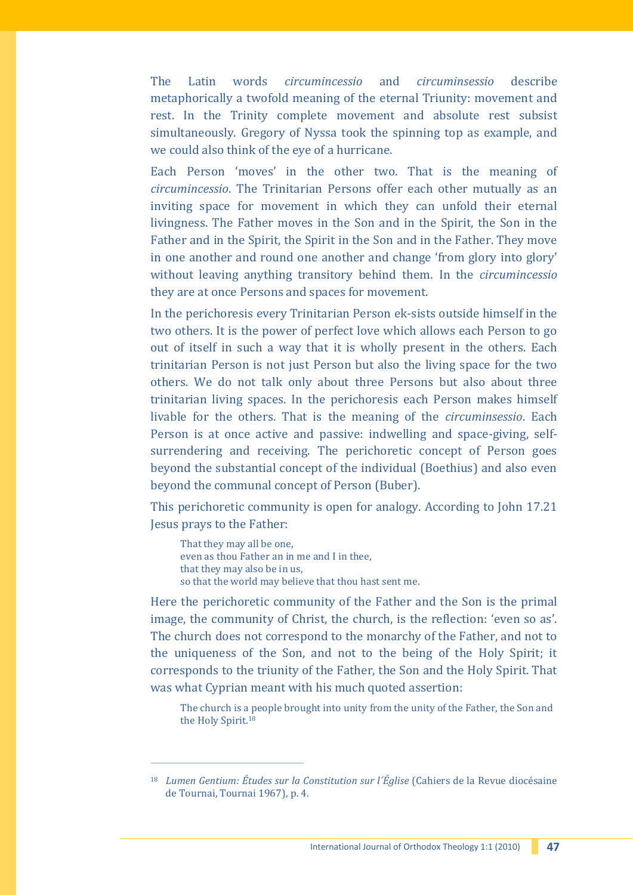The Latin words *circumincessio* and *circuminsessio* describe metaphorically a twofold meaning of the eternal Triunity: movement and rest. In the Trinity complete movement and absolute rest subsist simultaneously. Gregory of Nyssa took the spinning top as example, and we could also think of the eye of a hurricane.

Each Person 'moves' in the other two. That is the meaning of *circumincessio*. The Trinitarian Persons offer each other mutually as an inviting space for movement in which they can unfold their eternal livingness. The Father moves in the Son and in the Spirit, the Son in the Father and in the Spirit, the Spirit in the Son and in the Father. They move in one another and round one another and change 'from glory into glory' without leaving anything transitory behind them. In the *circumincessio* they are at once Persons and spaces for movement.

In the perichoresis every Trinitarian Person ek-sists outside himself in the two others. It is the power of perfect love which allows each Person to go out of itself in such a way that it is wholly present in the others. Each trinitarian Person is not just Person but also the living space for the two others. We do not talk only about three Persons but also about three trinitarian living spaces. In the perichoresis each Person makes himself livable for the others. That is the meaning of the *circuminsessio*. Each Person is at once active and passive: indwelling and space-giving, selfsurrendering and receiving. The perichoretic concept of Person goes beyond the substantial concept of the individual (Boethius) and also even beyond the communal concept of Person (Buber).

This perichoretic community is open for analogy. According to John 17.21 Jesus prays to the Father:

That they may all be one, even as thou Father an in me and I in thee, that they may also be in us, so that the world may believe that thou hast sent me.

j

Here the perichoretic community of the Father and the Son is the primal image, the community of Christ, the church, is the reflection: 'even so as'. The church does not correspond to the monarchy of the Father, and not to the uniqueness of the Son, and not to the being of the Holy Spirit; it corresponds to the triunity of the Father, the Son and the Holy Spirit. That was what Cyprian meant with his much quoted assertion:

The church is a people brought into unity from the unity of the Father, the Son and the Holy Spirit.<sup>18</sup>

<sup>18</sup> *Lumen Gentium: Études sur la Constitution sur l´Église* (Cahiers de la Revue diocésaine de Tournai, Tournai 1967), p. 4.